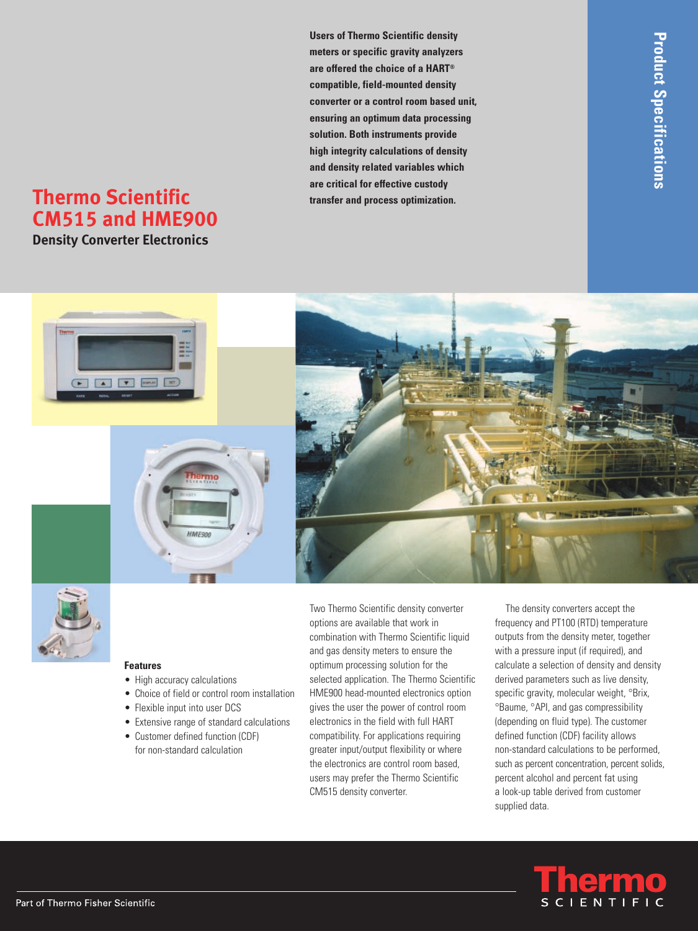**Users of Thermo Scientific density meters or specific gravity analyzers are offered the choice of a HART® compatible, field-mounted density converter or a control room based unit, ensuring an optimum data processing solution. Both instruments provide high integrity calculations of density and density related variables which are critical for effective custody**

# **Thermo Scientific transfer and process optimization. CM515 and HME900**

**Density Converter Electronics**





#### **Features**

- High accuracy calculations
- Choice of field or control room installation
- Flexible input into user DCS
- Extensive range of standard calculations
- Customer defined function (CDF) for non-standard calculation

Two Thermo Scientific density converter options are available that work in combination with Thermo Scientific liquid and gas density meters to ensure the optimum processing solution for the selected application. The Thermo Scientific HME900 head-mounted electronics option gives the user the power of control room electronics in the field with full HART compatibility. For applications requiring greater input/output flexibility or where the electronics are control room based, users may prefer the Thermo Scientific CM515 density converter.

The density converters accept the frequency and PT100 (RTD) temperature outputs from the density meter, together with a pressure input (if required), and calculate a selection of density and density derived parameters such as live density, specific gravity, molecular weight, °Brix, °Baume, °API, and gas compressibility (depending on fluid type). The customer defined function (CDF) facility allows non-standard calculations to be performed, such as percent concentration, percent solids, percent alcohol and percent fat using a look-up table derived from customer supplied data.

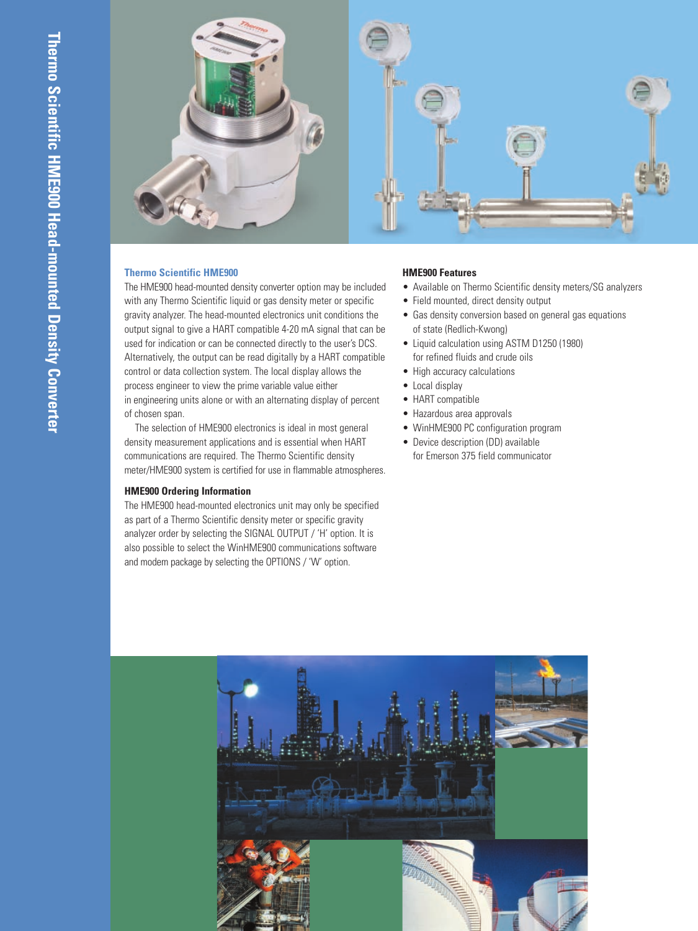

#### **Thermo Scientific HME900**

The HME900 head-mounted density converter option may be included with any Thermo Scientific liquid or gas density meter or specific gravity analyzer. The head-mounted electronics unit conditions the output signal to give a HART compatible 4-20 mA signal that can be used for indication or can be connected directly to the user's DCS. Alternatively, the output can be read digitally by a HART compatible control or data collection system. The local display allows the process engineer to view the prime variable value either in engineering units alone or with an alternating display of percent of chosen span.

The selection of HME900 electronics is ideal in most general density measurement applications and is essential when HART communications are required. The Thermo Scientific density meter/HME900 system is certified for use in flammable atmospheres.

#### **HME900 Ordering Information**

The HME900 head-mounted electronics unit may only be specified as part of a Thermo Scientific density meter or specific gravity analyzer order by selecting the SIGNAL OUTPUT / 'H' option. It is also possible to select the WinHME900 communications software and modem package by selecting the OPTIONS / 'W' option.

#### **HME900 Features**

- Available on Thermo Scientific density meters/SG analyzers
- Field mounted, direct density output
- Gas density conversion based on general gas equations of state (Redlich-Kwong)
- Liquid calculation using ASTM D1250 (1980) for refined fluids and crude oils
- High accuracy calculations
- Local display
- HART compatible
- Hazardous area approvals
- WinHME900 PC configuration program
- Device description (DD) available for Emerson 375 field communicator

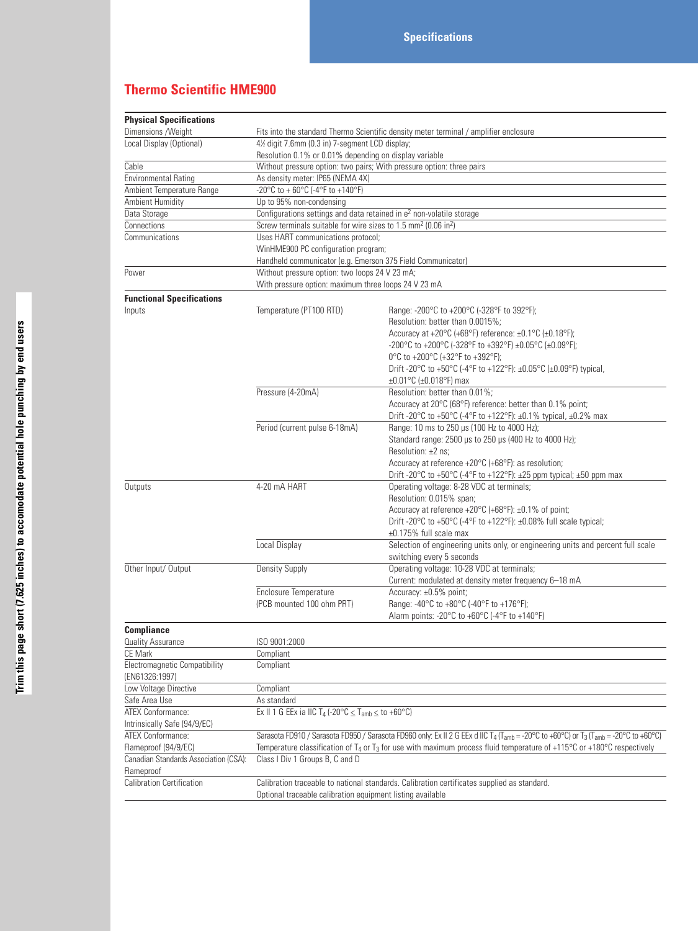# **Thermo Scientific HME900**

| <b>Physical Specifications</b>        |                                                                                                                                                                                     |                                                                                       |  |  |  |
|---------------------------------------|-------------------------------------------------------------------------------------------------------------------------------------------------------------------------------------|---------------------------------------------------------------------------------------|--|--|--|
| Dimensions / Weight                   |                                                                                                                                                                                     | Fits into the standard Thermo Scientific density meter terminal / amplifier enclosure |  |  |  |
| Local Display (Optional)              | 4½ digit 7.6mm (0.3 in) 7-segment LCD display;                                                                                                                                      |                                                                                       |  |  |  |
|                                       | Resolution 0.1% or 0.01% depending on display variable                                                                                                                              |                                                                                       |  |  |  |
| Cable                                 |                                                                                                                                                                                     | Without pressure option: two pairs; With pressure option: three pairs                 |  |  |  |
| <b>Environmental Rating</b>           | As density meter: IP65 (NEMA 4X)                                                                                                                                                    |                                                                                       |  |  |  |
| Ambient Temperature Range             | -20°C to + 60°C (-4°F to +140°F)                                                                                                                                                    |                                                                                       |  |  |  |
| Ambient Humidity                      | Up to 95% non-condensing                                                                                                                                                            |                                                                                       |  |  |  |
| Data Storage                          | Configurations settings and data retained in e <sup>2</sup> non-volatile storage                                                                                                    |                                                                                       |  |  |  |
| Connections                           | Screw terminals suitable for wire sizes to 1.5 mm <sup>2</sup> (0.06 in <sup>2</sup> )                                                                                              |                                                                                       |  |  |  |
| Communications                        | Uses HART communications protocol;                                                                                                                                                  |                                                                                       |  |  |  |
|                                       | WinHME900 PC configuration program;                                                                                                                                                 |                                                                                       |  |  |  |
|                                       | Handheld communicator (e.g. Emerson 375 Field Communicator)                                                                                                                         |                                                                                       |  |  |  |
| Power                                 | Without pressure option: two loops 24 V 23 mA;                                                                                                                                      |                                                                                       |  |  |  |
|                                       | With pressure option: maximum three loops 24 V 23 mA                                                                                                                                |                                                                                       |  |  |  |
| <b>Functional Specifications</b>      |                                                                                                                                                                                     |                                                                                       |  |  |  |
| Inputs                                | Temperature (PT100 RTD)                                                                                                                                                             | Range: -200°C to +200°C (-328°F to 392°F);                                            |  |  |  |
|                                       |                                                                                                                                                                                     | Resolution: better than 0.0015%;                                                      |  |  |  |
|                                       |                                                                                                                                                                                     | Accuracy at +20°C (+68°F) reference: ±0.1°C (±0.18°F);                                |  |  |  |
|                                       |                                                                                                                                                                                     | -200°C to +200°C (-328°F to +392°F) ±0.05°C (±0.09°F);                                |  |  |  |
|                                       |                                                                                                                                                                                     | 0°C to +200°C (+32°F to +392°F);                                                      |  |  |  |
|                                       |                                                                                                                                                                                     | Drift -20°C to +50°C (-4°F to +122°F): ±0.05°C (±0.09°F) typical,                     |  |  |  |
|                                       |                                                                                                                                                                                     | ±0.01°C (±0.018°F) max                                                                |  |  |  |
|                                       | Pressure (4-20mA)                                                                                                                                                                   | Resolution: better than 0.01%;                                                        |  |  |  |
|                                       |                                                                                                                                                                                     | Accuracy at 20°C (68°F) reference: better than 0.1% point;                            |  |  |  |
|                                       |                                                                                                                                                                                     | Drift -20°C to +50°C (-4°F to +122°F): ±0.1% typical, ±0.2% max                       |  |  |  |
|                                       | Period (current pulse 6-18mA)                                                                                                                                                       | Range: 10 ms to 250 µs (100 Hz to 4000 Hz);                                           |  |  |  |
|                                       |                                                                                                                                                                                     | Standard range: 2500 µs to 250 µs (400 Hz to 4000 Hz);                                |  |  |  |
|                                       |                                                                                                                                                                                     | Resolution: ±2 ns:                                                                    |  |  |  |
|                                       |                                                                                                                                                                                     | Accuracy at reference +20°C (+68°F): as resolution;                                   |  |  |  |
|                                       |                                                                                                                                                                                     | Drift -20°C to +50°C (-4°F to +122°F): ±25 ppm typical; ±50 ppm max                   |  |  |  |
| Outputs                               | 4-20 mA HART                                                                                                                                                                        | Operating voltage: 8-28 VDC at terminals;                                             |  |  |  |
|                                       |                                                                                                                                                                                     | Resolution: 0.015% span;                                                              |  |  |  |
|                                       |                                                                                                                                                                                     | Accuracy at reference +20°C (+68°F): ±0.1% of point;                                  |  |  |  |
|                                       |                                                                                                                                                                                     | Drift -20°C to +50°C (-4°F to +122°F): ±0.08% full scale typical;                     |  |  |  |
|                                       |                                                                                                                                                                                     | ±0.175% full scale max                                                                |  |  |  |
|                                       | Local Display                                                                                                                                                                       | Selection of engineering units only, or engineering units and percent full scale      |  |  |  |
|                                       |                                                                                                                                                                                     | switching every 5 seconds                                                             |  |  |  |
| Other Input/ Output                   | <b>Density Supply</b>                                                                                                                                                               | Operating voltage: 10-28 VDC at terminals;                                            |  |  |  |
|                                       |                                                                                                                                                                                     | Current: modulated at density meter frequency 6-18 mA                                 |  |  |  |
|                                       | Enclosure Temperature                                                                                                                                                               | Accuracy: ±0.5% point;                                                                |  |  |  |
|                                       | (PCB mounted 100 ohm PRT)                                                                                                                                                           | Range: -40°C to +80°C (-40°F to +176°F);                                              |  |  |  |
|                                       |                                                                                                                                                                                     | Alarm points: -20°C to +60°C (-4°F to +140°F)                                         |  |  |  |
| <b>Compliance</b>                     |                                                                                                                                                                                     |                                                                                       |  |  |  |
| Quality Assurance                     | ISO 9001:2000                                                                                                                                                                       |                                                                                       |  |  |  |
| CE Mark                               | Compliant                                                                                                                                                                           |                                                                                       |  |  |  |
| <b>Electromagnetic Compatibility</b>  | Compliant                                                                                                                                                                           |                                                                                       |  |  |  |
| (EN61326:1997)                        |                                                                                                                                                                                     |                                                                                       |  |  |  |
| Low Voltage Directive                 | Compliant                                                                                                                                                                           |                                                                                       |  |  |  |
| Safe Area Use                         | As standard                                                                                                                                                                         |                                                                                       |  |  |  |
| ATEX Conformance:                     | Ex II 1 G EEx ia IIC T <sub>4</sub> (-20°C $\leq$ T <sub>amb</sub> $\leq$ to +60°C)                                                                                                 |                                                                                       |  |  |  |
| Intrinsically Safe (94/9/EC)          |                                                                                                                                                                                     |                                                                                       |  |  |  |
| <b>ATEX Conformance:</b>              | Sarasota FD910 / Sarasota FD950 / Sarasota FD960 only: Ex II 2 G EEx d IIC T <sub>4</sub> (T <sub>amb</sub> = -20°C to +60°C) or T <sub>3</sub> (T <sub>amb</sub> = -20°C to +60°C) |                                                                                       |  |  |  |
| Flameproof (94/9/EC)                  | Temperature classification of T <sub>4</sub> or T <sub>3</sub> for use with maximum process fluid temperature of +115 <sup>o</sup> C or +180 <sup>o</sup> C respectively            |                                                                                       |  |  |  |
| Canadian Standards Association (CSA): | Class I Div 1 Groups B, C and D                                                                                                                                                     |                                                                                       |  |  |  |
| Flameproof                            |                                                                                                                                                                                     |                                                                                       |  |  |  |
| <b>Calibration Certification</b>      | Calibration traceable to national standards. Calibration certificates supplied as standard.                                                                                         |                                                                                       |  |  |  |
|                                       | Optional traceable calibration equipment listing available                                                                                                                          |                                                                                       |  |  |  |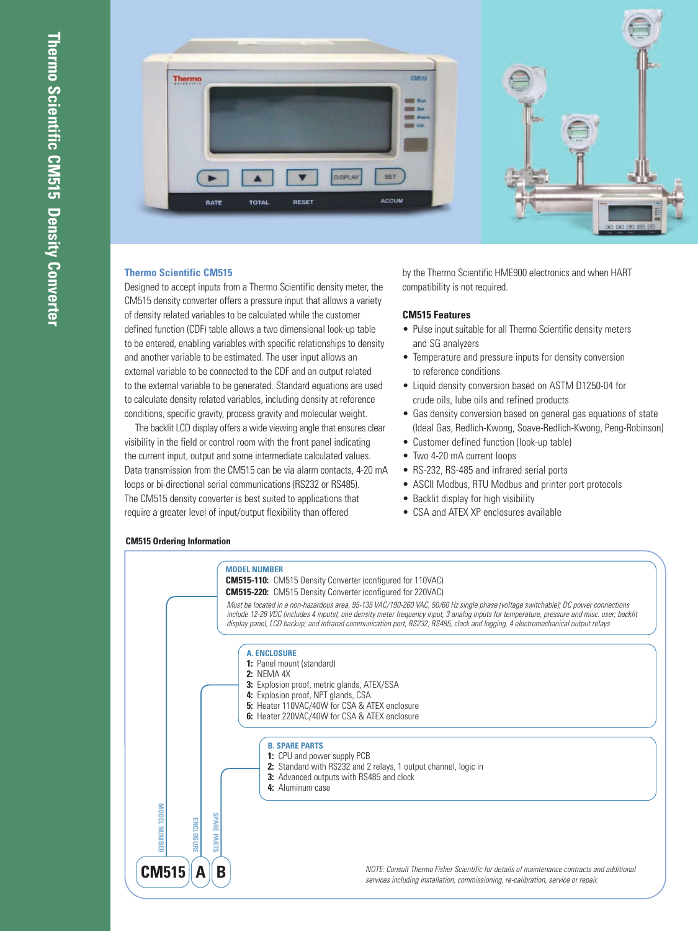

#### **Thermo Scientific CM515**

Designed to accept inputs from a Thermo Scientific density meter, the CM515 density converter offers a pressure input that allows a variety of density related variables to be calculated while the customer defined function (CDF) table allows a two dimensional look-up table to be entered, enabling variables with specific relationships to density and another variable to be estimated. The user input allows an external variable to be connected to the CDF and an output related to the external variable to be generated. Standard equations are used to calculate density related variables, including density at reference conditions, specific gravity, process gravity and molecular weight.

The backlit LCD display offers a wide viewing angle that ensures clear visibility in the field or control room with the front panel indicating the current input, output and some intermediate calculated values. Data transmission from the CM515 can be via alarm contacts, 4-20 mA loops or bi-directional serial communications (RS232 or RS485). The CM515 density converter is best suited to applications that require a greater level of input/output flexibility than offered

by the Thermo Scientific HME900 electronics and when HART compatibility is not required.

#### **CM515 Features**

- Pulse input suitable for all Thermo Scientific density meters and SG analyzers
- Temperature and pressure inputs for density conversion to reference conditions
- Liquid density conversion based on ASTM D1250-04 for crude oils, lube oils and refined products
- Gas density conversion based on general gas equations of state (Ideal Gas, Redlich-Kwong, Soave-Redlich-Kwong, Peng-Robinson)
- Customer defined function (look-up table)
- Two 4-20 mA current loops
- RS-232, RS-485 and infrared serial ports
- ASCII Modbus, RTU Modbus and printer port protocols
- Backlit display for high visibility
- CSA and ATEX XP enclosures available



## **CM515 Ordering Information**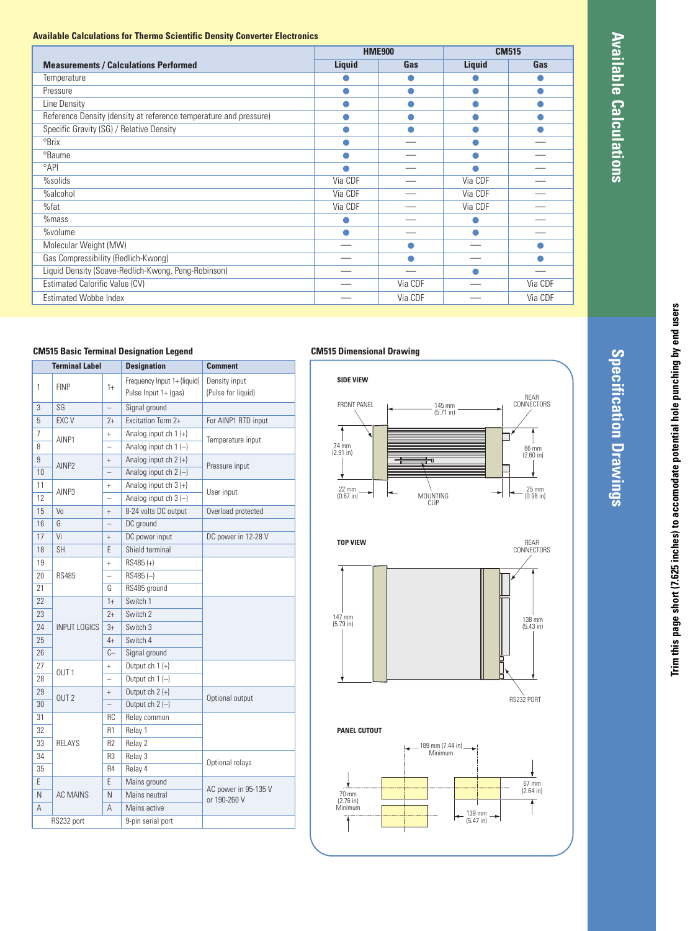**Specification**

 **Drawings**

#### **Available Calculations for Thermo Scientific Density Converter Electronics**

|                                                                   | <b>HME900</b> |         | <b>CM515</b> |         |
|-------------------------------------------------------------------|---------------|---------|--------------|---------|
| <b>Measurements / Calculations Performed</b>                      | Liquid        | Gas     | Liquid       | Gas     |
| Temperature                                                       |               |         |              |         |
| Pressure                                                          |               | œ       |              |         |
| Line Density                                                      |               |         |              |         |
| Reference Density (density at reference temperature and pressure) |               |         |              |         |
| Specific Gravity (SG) / Relative Density                          |               |         |              |         |
| <sup>o</sup> Brix                                                 |               |         |              |         |
| <sup>o</sup> Baume                                                |               |         |              |         |
| $^{\circ}$ API                                                    |               |         |              |         |
| %solids                                                           | Via CDF       |         | Via CDF      |         |
| %alcohol                                                          | Via CDF       |         | Via CDF      |         |
| %fat                                                              | Via CDF       |         | Via CDF      |         |
| $%$ mass                                                          |               |         |              |         |
| %volume                                                           |               |         |              |         |
| Molecular Weight (MW)                                             |               |         |              |         |
| Gas Compressibility (Redlich-Kwong)                               |               |         |              |         |
| Liquid Density (Soave-Redlich-Kwong, Peng-Robinson)               |               |         |              |         |
| Estimated Calorific Value (CV)                                    |               | Via CDF |              | Via CDF |
| <b>Estimated Wobbe Index</b>                                      |               | Via CDF |              | Via CDF |

#### **CM515 Basic Terminal Designation Legend**

| <b>Terminal Label</b> |                                                                      | <b>Designation</b>       | <b>Comment</b>                                      |                                     |  |
|-----------------------|----------------------------------------------------------------------|--------------------------|-----------------------------------------------------|-------------------------------------|--|
| 1                     | <b>FINP</b>                                                          | $1+$                     | Frequency Input 1+ (liquid)<br>Pulse Input 1+ (gas) | Density input<br>(Pulse for liquid) |  |
| 3                     | SG                                                                   | $\overline{\phantom{0}}$ | Signal ground                                       |                                     |  |
| 5                     | EXC V                                                                | $2+$                     | Excitation Term 2+                                  | For AINP1 RTD input                 |  |
| 7                     |                                                                      | $^{+}$                   | Analog input $ch 1 (+)$                             |                                     |  |
| 8                     | AINP1<br>$\overline{\phantom{0}}$                                    |                          | Analog input ch $1(-)$                              | Temperature input                   |  |
| 9                     | $^{+}$<br>AINP <sub>2</sub><br>$\overline{\phantom{0}}$              |                          | Analog input $ch 2 (+)$                             | Pressure input                      |  |
| 10                    |                                                                      |                          | Analog input ch $2$ (-)                             |                                     |  |
| 11                    | AINP3                                                                | $\ddot{}$                | Analog input $ch 3 (+)$                             | User input                          |  |
| 12                    |                                                                      | $\overline{\phantom{0}}$ | Analog input ch $3$ $(-)$                           |                                     |  |
| 15                    | Vo                                                                   | $^{+}$                   | 8-24 volts DC output                                | Overload protected                  |  |
| 16                    | G                                                                    |                          | DC ground                                           |                                     |  |
| 17                    | Vi                                                                   | $^{+}$                   | DC power input                                      | DC power in 12-28 V                 |  |
| 18                    | <b>SH</b>                                                            | F                        | Shield terminal                                     |                                     |  |
| 19                    | $\ddot{}$<br><b>RS485</b><br>L,<br>G                                 |                          | RS485 (+)                                           |                                     |  |
| 20                    |                                                                      |                          | $RS485(-)$                                          |                                     |  |
| 21                    |                                                                      |                          | RS485 ground                                        |                                     |  |
| 22                    | $1+$                                                                 |                          | Switch 1                                            |                                     |  |
| 23                    |                                                                      | $2+$                     | Switch 2                                            |                                     |  |
| 24                    | INPUT LOGICS<br>$3+$<br>4+<br>$C-$                                   |                          | Switch <sub>3</sub>                                 |                                     |  |
| 25                    |                                                                      |                          | Switch 4                                            |                                     |  |
| 26                    |                                                                      |                          | Signal ground                                       |                                     |  |
| 27                    | OUT <sub>1</sub>                                                     | $^{+}$                   | Output $ch 1 (+)$                                   |                                     |  |
| 28                    |                                                                      | $\overline{\phantom{0}}$ | Output ch $1(-)$                                    |                                     |  |
| 29                    | OUT <sub>2</sub>                                                     | $^{+}$                   | Output $ch 2 (+)$                                   | Optional output                     |  |
| 30                    |                                                                      |                          | Output ch $2$ $(-)$                                 |                                     |  |
| 31                    |                                                                      | RC                       | Relay common                                        |                                     |  |
| 32                    | R1<br>R <sub>2</sub><br>33<br><b>RFI AYS</b><br>34<br>R3<br>35<br>R4 |                          | Relay 1                                             |                                     |  |
|                       |                                                                      |                          | Relay 2                                             |                                     |  |
|                       |                                                                      |                          | Relay 3                                             | Optional relays                     |  |
|                       |                                                                      |                          | Relay 4                                             |                                     |  |
| E                     | F                                                                    |                          | Mains ground                                        | AC power in 95-135 V                |  |
| N                     | AC MAINS                                                             | N                        | Mains neutral                                       | or 190-260 V                        |  |
| A                     | A                                                                    |                          | Mains active                                        |                                     |  |
| RS232 port            |                                                                      | 9-pin serial port        |                                                     |                                     |  |

#### **CM515 Dimensional Drawing**





**PANEL CUTOUT**